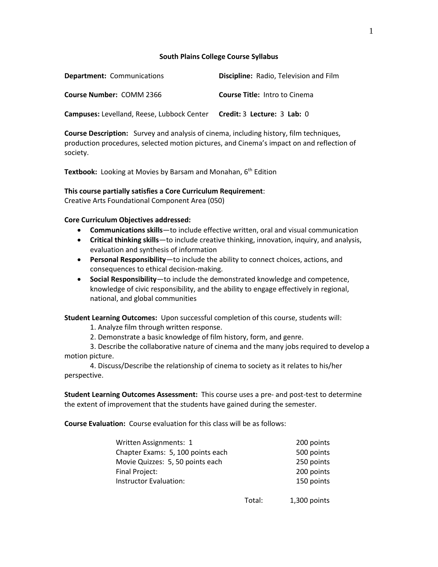## **South Plains College Course Syllabus**

| <b>Department:</b> Communications                 | <b>Discipline:</b> Radio, Television and Film |
|---------------------------------------------------|-----------------------------------------------|
| <b>Course Number: COMM 2366</b>                   | <b>Course Title: Intro to Cinema</b>          |
| <b>Campuses:</b> Levelland, Reese, Lubbock Center | Credit: 3 Lecture: 3 Lab: 0                   |

**Course Description:** Survey and analysis of cinema, including history, film techniques, production procedures, selected motion pictures, and Cinema's impact on and reflection of society.

**Textbook:** Looking at Movies by Barsam and Monahan, 6<sup>th</sup> Edition

## **This course partially satisfies a Core Curriculum Requirement**:

Creative Arts Foundational Component Area (050)

## **Core Curriculum Objectives addressed:**

- **Communications skills**—to include effective written, oral and visual communication
- **Critical thinking skills**—to include creative thinking, innovation, inquiry, and analysis, evaluation and synthesis of information
- **Personal Responsibility**—to include the ability to connect choices, actions, and consequences to ethical decision-making.
- **Social Responsibility**—to include the demonstrated knowledge and competence, knowledge of civic responsibility, and the ability to engage effectively in regional, national, and global communities

**Student Learning Outcomes:** Upon successful completion of this course, students will:

1. Analyze film through written response.

2. Demonstrate a basic knowledge of film history, form, and genre.

3. Describe the collaborative nature of cinema and the many jobs required to develop a motion picture.

4. Discuss/Describe the relationship of cinema to society as it relates to his/her perspective.

**Student Learning Outcomes Assessment:** This course uses a pre- and post-test to determine the extent of improvement that the students have gained during the semester.

**Course Evaluation:** Course evaluation for this class will be as follows:

| Written Assignments: 1            | 200 points |
|-----------------------------------|------------|
| Chapter Exams: 5, 100 points each | 500 points |
| Movie Quizzes: 5, 50 points each  | 250 points |
| Final Project:                    | 200 points |
| Instructor Evaluation:            | 150 points |
|                                   |            |

Total: 1,300 points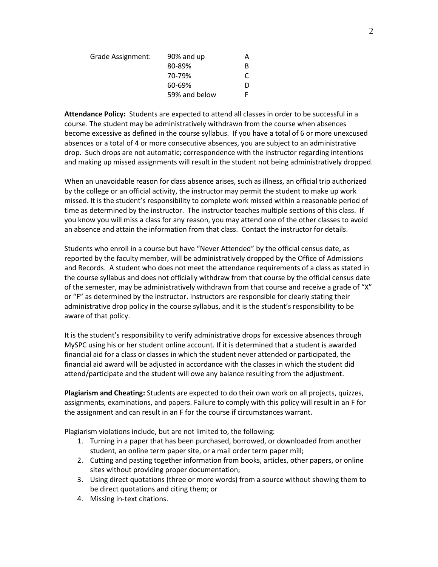| Grade Assignment: | 90% and up    | А |
|-------------------|---------------|---|
|                   | 80-89%        | в |
|                   | 70-79%        |   |
|                   | 60-69%        | D |
|                   | 59% and below |   |

**Attendance Policy:** Students are expected to attend all classes in order to be successful in a course. The student may be administratively withdrawn from the course when absences become excessive as defined in the course syllabus. If you have a total of 6 or more unexcused absences or a total of 4 or more consecutive absences, you are subject to an administrative drop. Such drops are not automatic; correspondence with the instructor regarding intentions and making up missed assignments will result in the student not being administratively dropped.

When an unavoidable reason for class absence arises, such as illness, an official trip authorized by the college or an official activity, the instructor may permit the student to make up work missed. It is the student's responsibility to complete work missed within a reasonable period of time as determined by the instructor. The instructor teaches multiple sections of this class. If you know you will miss a class for any reason, you may attend one of the other classes to avoid an absence and attain the information from that class. Contact the instructor for details.

Students who enroll in a course but have "Never Attended" by the official census date, as reported by the faculty member, will be administratively dropped by the Office of Admissions and Records. A student who does not meet the attendance requirements of a class as stated in the course syllabus and does not officially withdraw from that course by the official census date of the semester, may be administratively withdrawn from that course and receive a grade of "X" or "F" as determined by the instructor. Instructors are responsible for clearly stating their administrative drop policy in the course syllabus, and it is the student's responsibility to be aware of that policy.

It is the student's responsibility to verify administrative drops for excessive absences through MySPC using his or her student online account. If it is determined that a student is awarded financial aid for a class or classes in which the student never attended or participated, the financial aid award will be adjusted in accordance with the classes in which the student did attend/participate and the student will owe any balance resulting from the adjustment.

**Plagiarism and Cheating:** Students are expected to do their own work on all projects, quizzes, assignments, examinations, and papers. Failure to comply with this policy will result in an F for the assignment and can result in an F for the course if circumstances warrant.

Plagiarism violations include, but are not limited to, the following:

- 1. Turning in a paper that has been purchased, borrowed, or downloaded from another student, an online term paper site, or a mail order term paper mill;
- 2. Cutting and pasting together information from books, articles, other papers, or online sites without providing proper documentation;
- 3. Using direct quotations (three or more words) from a source without showing them to be direct quotations and citing them; or
- 4. Missing in-text citations.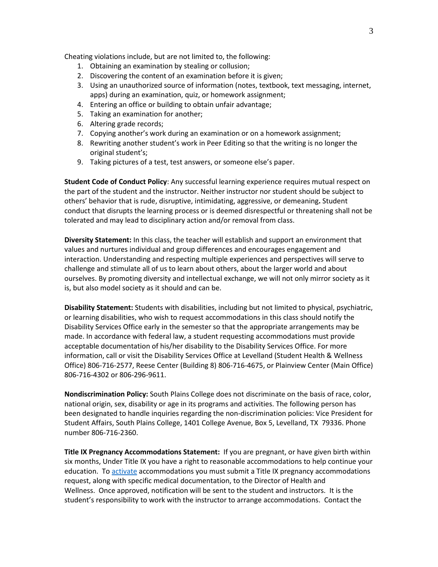Cheating violations include, but are not limited to, the following:

- 1. Obtaining an examination by stealing or collusion;
- 2. Discovering the content of an examination before it is given;
- 3. Using an unauthorized source of information (notes, textbook, text messaging, internet, apps) during an examination, quiz, or homework assignment;
- 4. Entering an office or building to obtain unfair advantage;
- 5. Taking an examination for another;
- 6. Altering grade records;
- 7. Copying another's work during an examination or on a homework assignment;
- 8. Rewriting another student's work in Peer Editing so that the writing is no longer the original student's;
- 9. Taking pictures of a test, test answers, or someone else's paper.

**Student Code of Conduct Policy**: Any successful learning experience requires mutual respect on the part of the student and the instructor. Neither instructor nor student should be subject to others' behavior that is rude, disruptive, intimidating, aggressive, or demeaning**.** Student conduct that disrupts the learning process or is deemed disrespectful or threatening shall not be tolerated and may lead to disciplinary action and/or removal from class.

**Diversity Statement:** In this class, the teacher will establish and support an environment that values and nurtures individual and group differences and encourages engagement and interaction. Understanding and respecting multiple experiences and perspectives will serve to challenge and stimulate all of us to learn about others, about the larger world and about ourselves. By promoting diversity and intellectual exchange, we will not only mirror society as it is, but also model society as it should and can be.

**Disability Statement:** Students with disabilities, including but not limited to physical, psychiatric, or learning disabilities, who wish to request accommodations in this class should notify the Disability Services Office early in the semester so that the appropriate arrangements may be made. In accordance with federal law, a student requesting accommodations must provide acceptable documentation of his/her disability to the Disability Services Office. For more information, call or visit the Disability Services Office at Levelland (Student Health & Wellness Office) 806-716-2577, Reese Center (Building 8) 806-716-4675, or Plainview Center (Main Office) 806-716-4302 or 806-296-9611.

**Nondiscrimination Policy:** South Plains College does not discriminate on the basis of race, color, national origin, sex, disability or age in its programs and activities. The following person has been designated to handle inquiries regarding the non-discrimination policies: Vice President for Student Affairs, South Plains College, 1401 College Avenue, Box 5, Levelland, TX 79336. Phone number 806-716-2360.

**Title IX Pregnancy Accommodations Statement:** If you are pregnant, or have given birth within six months, Under Title IX you have a right to reasonable accommodations to help continue your education. To [activate](http://www.southplainscollege.edu/employees/manualshandbooks/facultyhandbook/sec4.php) accommodations you must submit a Title IX pregnancy accommodations request, along with specific medical documentation, to the Director of Health and Wellness. Once approved, notification will be sent to the student and instructors. It is the student's responsibility to work with the instructor to arrange accommodations. Contact the